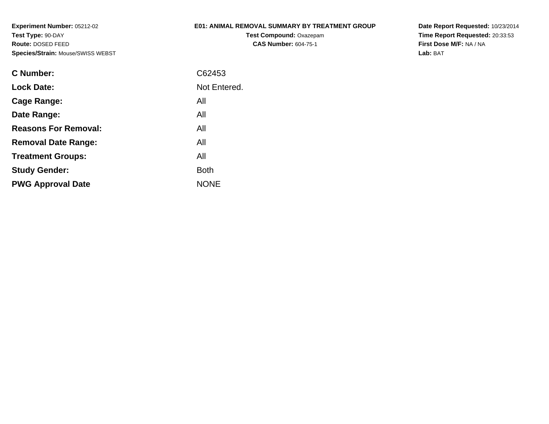## **E01: ANIMAL REMOVAL SUMMARY BY TREATMENT GROUP**

**Test Compound:** Oxazepam**CAS Number:** 604-75-1

| C Number:                   | C62453       |
|-----------------------------|--------------|
| <b>Lock Date:</b>           | Not Entered. |
| Cage Range:                 | All          |
| Date Range:                 | All          |
| <b>Reasons For Removal:</b> | All          |
| <b>Removal Date Range:</b>  | All          |
| <b>Treatment Groups:</b>    | All          |
| <b>Study Gender:</b>        | <b>Both</b>  |
| <b>PWG Approval Date</b>    | <b>NONE</b>  |
|                             |              |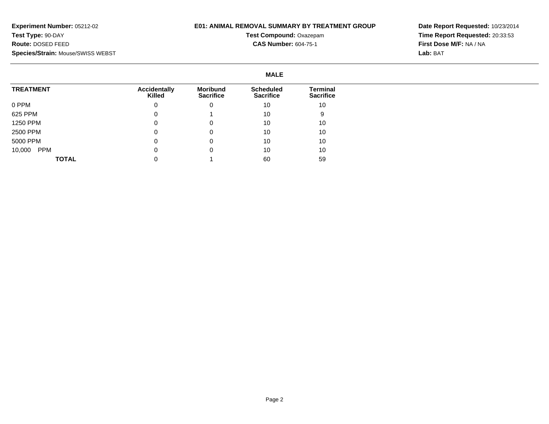### **E01: ANIMAL REMOVAL SUMMARY BY TREATMENT GROUP**

## **Test Compound:** Oxazepam**CAS Number:** 604-75-1

|                      |                               |                              | <b>MALE</b>                          |                              |
|----------------------|-------------------------------|------------------------------|--------------------------------------|------------------------------|
| <b>TREATMENT</b>     | <b>Accidentally</b><br>Killed | Moribund<br><b>Sacrifice</b> | <b>Scheduled</b><br><b>Sacrifice</b> | Terminal<br><b>Sacrifice</b> |
| 0 PPM                | 0                             | 0                            | 10                                   | 10                           |
| 625 PPM              | 0                             |                              | 10                                   |                              |
| 1250 PPM             | 0                             | 0                            | 10                                   | 10                           |
| 2500 PPM             | 0                             | 0                            | 10                                   | 10                           |
| 5000 PPM             | 0                             | 0                            | 10                                   | 10                           |
| <b>PPM</b><br>10,000 | 0                             | 0                            | 10                                   | 10                           |
| <b>TOTAL</b>         |                               |                              | 60                                   | 59                           |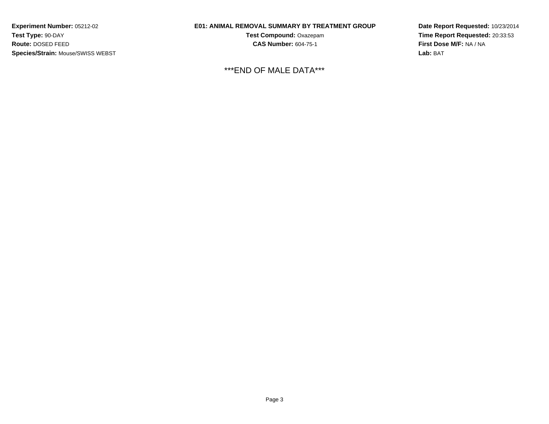### **E01: ANIMAL REMOVAL SUMMARY BY TREATMENT GROUP**

**Test Compound:** Oxazepam**CAS Number:** 604-75-1

\*\*\*END OF MALE DATA\*\*\*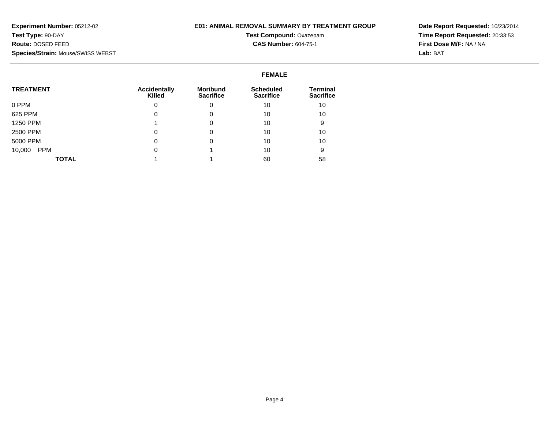#### **E01: ANIMAL REMOVAL SUMMARY BY TREATMENT GROUP**

# **Test Compound:** Oxazepam**CAS Number:** 604-75-1

**Date Report Requested:** 10/23/2014**Time Report Requested:** 20:33:53**First Dose M/F:** NA / NA**Lab:** BAT

#### **FEMALETREATMENT**0 PPM 625 PPM 1250 PPM 2500 PPM 5000 PPM 10,000 PPM**TOTALAccidentallyKilled**0 $\overline{0}$  1 0 $\overline{0}$  $\overline{0}$  1**Moribund Sacrifice**0 0 0 0 0 1 1**Scheduled Sacrifice**10 10 10 10 10 10 60**Terminal Sacrifice**10 10 9 10 10 958